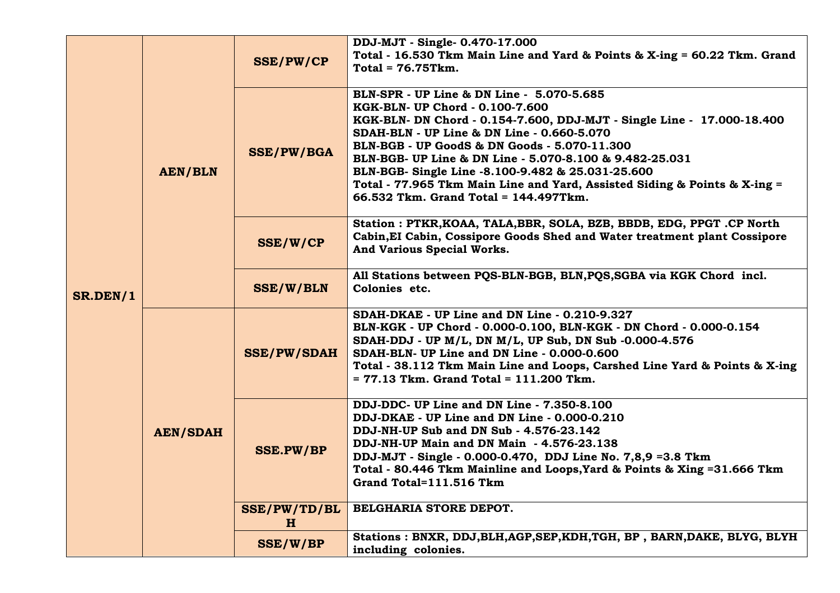| SR.DEN/1 | <b>AEN/BLN</b>  | <b>SSE/PW/CP</b>            | DDJ-MJT - Single- 0.470-17.000<br>Total - 16.530 Tkm Main Line and Yard & Points & X-ing = 60.22 Tkm. Grand<br>$Total = 76.75$ Tkm.                                                                                                                                                                                                                                                                                                                                                        |
|----------|-----------------|-----------------------------|--------------------------------------------------------------------------------------------------------------------------------------------------------------------------------------------------------------------------------------------------------------------------------------------------------------------------------------------------------------------------------------------------------------------------------------------------------------------------------------------|
|          |                 | <b>SSE/PW/BGA</b>           | BLN-SPR - UP Line & DN Line - 5.070-5.685<br>KGK-BLN- UP Chord - 0.100-7.600<br>KGK-BLN- DN Chord - 0.154-7.600, DDJ-MJT - Single Line - 17.000-18.400<br>SDAH-BLN - UP Line & DN Line - 0.660-5.070<br>BLN-BGB - UP GoodS & DN Goods - 5.070-11.300<br>BLN-BGB- UP Line & DN Line - 5.070-8.100 & 9.482-25.031<br>BLN-BGB- Single Line -8.100-9.482 & 25.031-25.600<br>Total - 77.965 Tkm Main Line and Yard, Assisted Siding & Points & X-ing =<br>66.532 Tkm. Grand Total = 144.497Tkm. |
|          |                 | SSE/W/CP                    | Station: PTKR, KOAA, TALA, BBR, SOLA, BZB, BBDB, EDG, PPGT.CP North<br>Cabin, EI Cabin, Cossipore Goods Shed and Water treatment plant Cossipore<br>And Various Special Works.                                                                                                                                                                                                                                                                                                             |
|          |                 | <b>SSE/W/BLN</b>            | All Stations between POS-BLN-BGB, BLN, POS, SGBA via KGK Chord incl.<br>Colonies etc.                                                                                                                                                                                                                                                                                                                                                                                                      |
|          | <b>AEN/SDAH</b> | <b>SSE/PW/SDAH</b>          | SDAH-DKAE - UP Line and DN Line - 0.210-9.327<br>BLN-KGK - UP Chord - 0.000-0.100, BLN-KGK - DN Chord - 0.000-0.154<br>SDAH-DDJ - UP M/L, DN M/L, UP Sub, DN Sub -0.000-4.576<br>SDAH-BLN- UP Line and DN Line - 0.000-0.600<br>Total - 38.112 Tkm Main Line and Loops, Carshed Line Yard & Points & X-ing<br>$= 77.13$ Tkm. Grand Total = 111.200 Tkm.                                                                                                                                    |
|          |                 | <b>SSE.PW/BP</b>            | DDJ-DDC- UP Line and DN Line - 7.350-8.100<br>DDJ-DKAE - UP Line and DN Line - 0.000-0.210<br>DDJ-NH-UP Sub and DN Sub - 4.576-23.142<br>DDJ-NH-UP Main and DN Main - 4.576-23.138<br>DDJ-MJT - Single - 0.000-0.470, DDJ Line No. 7,8,9 =3.8 Tkm<br>Total - 80.446 Tkm Mainline and Loops, Yard & Points & Xing = 31.666 Tkm<br>Grand Total=111.516 Tkm                                                                                                                                   |
|          |                 | SSE/PW/TD/BL<br>$\mathbf H$ | BELGHARIA STORE DEPOT.                                                                                                                                                                                                                                                                                                                                                                                                                                                                     |
|          |                 | <b>SSE/W/BP</b>             | Stations: BNXR, DDJ, BLH, AGP, SEP, KDH, TGH, BP, BARN, DAKE, BLYG, BLYH<br>including colonies.                                                                                                                                                                                                                                                                                                                                                                                            |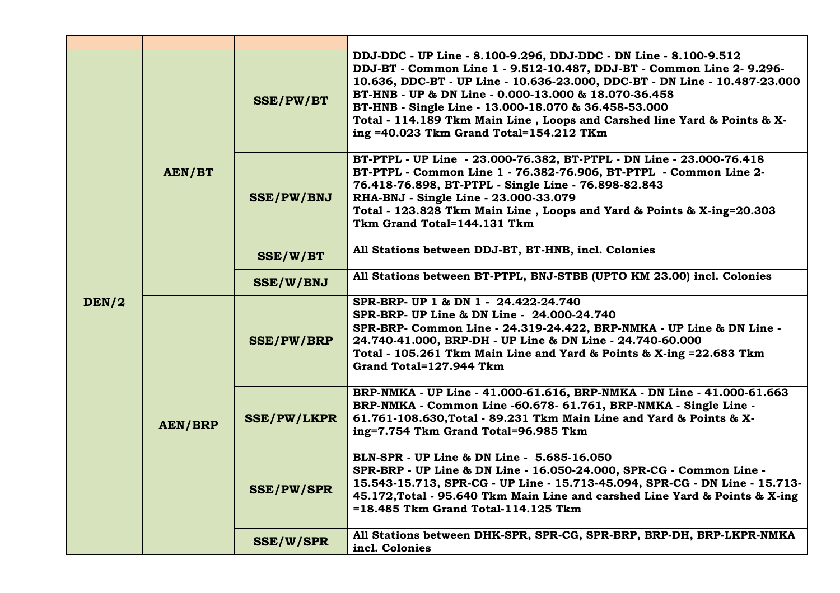| DEN/2 | AEN/BT         | <b>SSE/PW/BT</b>   | DDJ-DDC - UP Line - 8.100-9.296, DDJ-DDC - DN Line - 8.100-9.512<br>DDJ-BT - Common Line 1 - 9.512-10.487, DDJ-BT - Common Line 2- 9.296-<br>10.636, DDC-BT - UP Line - 10.636-23.000, DDC-BT - DN Line - 10.487-23.000<br>BT-HNB - UP & DN Line - 0.000-13.000 & 18.070-36.458<br>BT-HNB - Single Line - 13.000-18.070 & 36.458-53.000<br>Total - 114.189 Tkm Main Line, Loops and Carshed line Yard & Points & X-<br>ing =40.023 Tkm Grand Total=154.212 TKm |  |
|-------|----------------|--------------------|----------------------------------------------------------------------------------------------------------------------------------------------------------------------------------------------------------------------------------------------------------------------------------------------------------------------------------------------------------------------------------------------------------------------------------------------------------------|--|
|       |                | <b>SSE/PW/BNJ</b>  | BT-PTPL - UP Line - 23.000-76.382, BT-PTPL - DN Line - 23.000-76.418<br>BT-PTPL - Common Line 1 - 76.382-76.906, BT-PTPL - Common Line 2-<br>76.418-76.898, BT-PTPL - Single Line - 76.898-82.843<br>RHA-BNJ - Single Line - 23.000-33.079<br>Total - 123.828 Tkm Main Line, Loops and Yard & Points & X-ing=20.303<br>Tkm Grand Total=144.131 Tkm                                                                                                             |  |
|       |                | SSE/W/BT           | All Stations between DDJ-BT, BT-HNB, incl. Colonies                                                                                                                                                                                                                                                                                                                                                                                                            |  |
|       |                | <b>SSE/W/BNJ</b>   | All Stations between BT-PTPL, BNJ-STBB (UPTO KM 23.00) incl. Colonies                                                                                                                                                                                                                                                                                                                                                                                          |  |
|       | <b>AEN/BRP</b> | <b>SSE/PW/BRP</b>  | SPR-BRP- UP 1 & DN 1 - 24.422-24.740<br>SPR-BRP- UP Line & DN Line - 24.000-24.740<br>SPR-BRP- Common Line - 24.319-24.422, BRP-NMKA - UP Line & DN Line -<br>24.740-41.000, BRP-DH - UP Line & DN Line - 24.740-60.000<br>Total - 105.261 Tkm Main Line and Yard & Points & X-ing = 22.683 Tkm<br>Grand Total=127.944 Tkm                                                                                                                                     |  |
|       |                | <b>SSE/PW/LKPR</b> | BRP-NMKA - UP Line - 41.000-61.616, BRP-NMKA - DN Line - 41.000-61.663<br>BRP-NMKA - Common Line -60.678- 61.761, BRP-NMKA - Single Line -<br>61.761-108.630, Total - 89.231 Tkm Main Line and Yard & Points & X-<br>ing=7.754 Tkm Grand Total=96.985 Tkm                                                                                                                                                                                                      |  |
|       |                | <b>SSE/PW/SPR</b>  | BLN-SPR - UP Line & DN Line - 5.685-16.050<br>SPR-BRP - UP Line & DN Line - 16.050-24.000, SPR-CG - Common Line -<br>15.543-15.713, SPR-CG - UP Line - 15.713-45.094, SPR-CG - DN Line - 15.713-<br>45.172, Total - 95.640 Tkm Main Line and carshed Line Yard & Points & X-ing<br>=18.485 Tkm Grand Total-114.125 Tkm                                                                                                                                         |  |
|       |                | <b>SSE/W/SPR</b>   | All Stations between DHK-SPR, SPR-CG, SPR-BRP, BRP-DH, BRP-LKPR-NMKA<br>incl. Colonies                                                                                                                                                                                                                                                                                                                                                                         |  |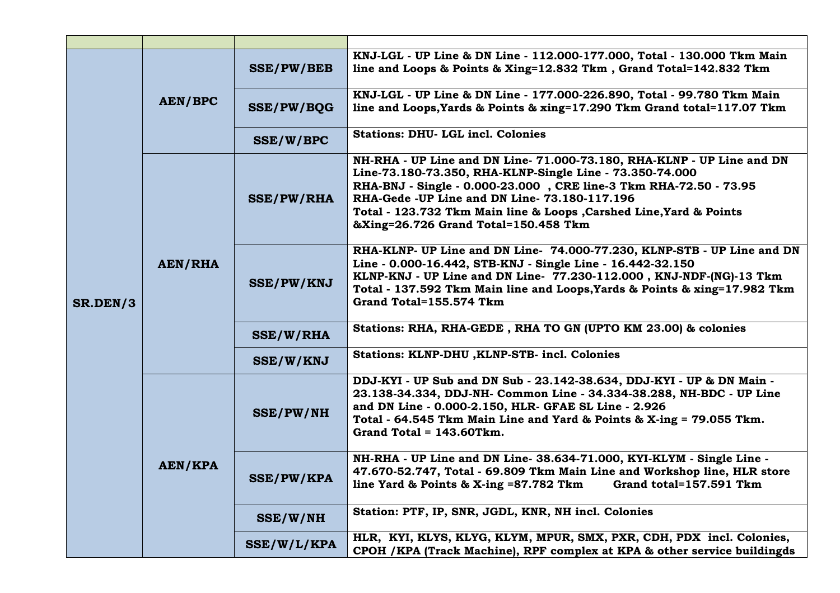| SR.DEN/3 | <b>AEN/BPC</b> | <b>SSE/PW/BEB</b> | KNJ-LGL - UP Line & DN Line - 112.000-177.000, Total - 130.000 Tkm Main<br>line and Loops & Points & Xing=12.832 Tkm, Grand Total=142.832 Tkm                                                                                                                                                                                                                          |
|----------|----------------|-------------------|------------------------------------------------------------------------------------------------------------------------------------------------------------------------------------------------------------------------------------------------------------------------------------------------------------------------------------------------------------------------|
|          |                | <b>SSE/PW/BOG</b> | KNJ-LGL - UP Line & DN Line - 177.000-226.890, Total - 99.780 Tkm Main<br>line and Loops, Yards & Points & xing=17.290 Tkm Grand total=117.07 Tkm                                                                                                                                                                                                                      |
|          |                | SSE/W/BPC         | <b>Stations: DHU- LGL incl. Colonies</b>                                                                                                                                                                                                                                                                                                                               |
|          | AEN/RHA        | <b>SSE/PW/RHA</b> | NH-RHA - UP Line and DN Line-71.000-73.180, RHA-KLNP - UP Line and DN<br>Line-73.180-73.350, RHA-KLNP-Single Line - 73.350-74.000<br>RHA-BNJ - Single - 0.000-23.000, CRE line-3 Tkm RHA-72.50 - 73.95<br>RHA-Gede -UP Line and DN Line- 73.180-117.196<br>Total - 123.732 Tkm Main line & Loops , Carshed Line, Yard & Points<br>&Xing=26.726 Grand Total=150.458 Tkm |
|          |                | <b>SSE/PW/KNJ</b> | RHA-KLNP- UP Line and DN Line- 74.000-77.230, KLNP-STB - UP Line and DN<br>Line - 0.000-16.442, STB-KNJ - Single Line - 16.442-32.150<br>KLNP-KNJ - UP Line and DN Line- 77.230-112.000, KNJ-NDF-(NG)-13 Tkm<br>Total - 137.592 Tkm Main line and Loops, Yards & Points & xing=17.982 Tkm<br>Grand Total=155.574 Tkm                                                   |
|          |                | <b>SSE/W/RHA</b>  | Stations: RHA, RHA-GEDE, RHA TO GN (UPTO KM 23.00) & colonies                                                                                                                                                                                                                                                                                                          |
|          |                | <b>SSE/W/KNJ</b>  | Stations: KLNP-DHU , KLNP-STB- incl. Colonies                                                                                                                                                                                                                                                                                                                          |
|          | AEN/KPA        | <b>SSE/PW/NH</b>  | DDJ-KYI - UP Sub and DN Sub - 23.142-38.634, DDJ-KYI - UP & DN Main -<br>23.138-34.334, DDJ-NH- Common Line - 34.334-38.288, NH-BDC - UP Line<br>and DN Line - 0.000-2.150, HLR- GFAE SL Line - 2.926<br>Total - 64.545 Tkm Main Line and Yard & Points & X-ing = 79.055 Tkm.<br>Grand Total = $143.60$ Tkm.                                                           |
|          |                | <b>SSE/PW/KPA</b> | NH-RHA - UP Line and DN Line- 38.634-71.000, KYI-KLYM - Single Line -<br>47.670-52.747, Total - 69.809 Tkm Main Line and Workshop line, HLR store<br>line Yard & Points & X-ing =87.782 Tkm<br>Grand total=157.591 Tkm                                                                                                                                                 |
|          |                | SSE/W/NH          | Station: PTF, IP, SNR, JGDL, KNR, NH incl. Colonies                                                                                                                                                                                                                                                                                                                    |
|          |                | SSE/W/L/KPA       | HLR, KYI, KLYS, KLYG, KLYM, MPUR, SMX, PXR, CDH, PDX incl. Colonies,<br>CPOH / KPA (Track Machine), RPF complex at KPA & other service buildingds                                                                                                                                                                                                                      |